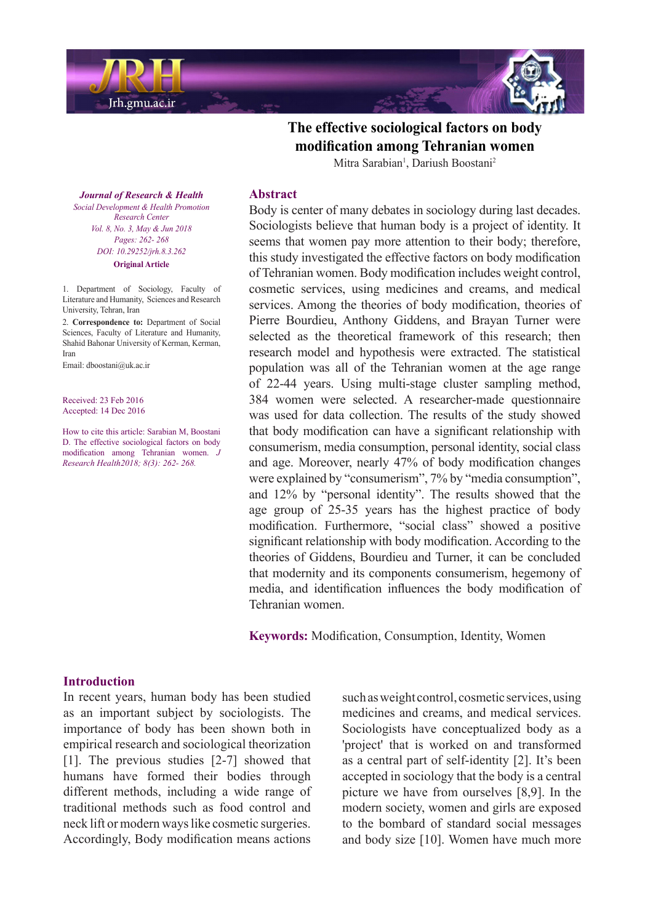

# The effective sociological factors on body modification among Tehranian women Mitra Sarabian<sup>1</sup>, Dariush Boostani<sup>2</sup>

**Journal of Research & Health**  *Promotion Health & Development Social Center Research Vol. 8, No. 3, May & Jun 2018* Pages: 262- 268 *DOI*: 10.29252/jrh.8.3.262 **Original** Article

1. Department of Sociology, Faculty of Literature and Humanity. Sciences and Research University, Tehran, Iran

2. Correspondence to: Department of Social Sciences, Faculty of Literature and Humanity, Shahid Bahonar University of Kerman, Kerman, Iran

Email: dboostani@uk.ac.ir

Received: 23 Feb 2016 Accepted: 14 Dec 2016

How to cite this article: Sarabian M, Boostani D. The effective sociological factors on body modification among Tehranian women. J *Research Health 2018*; 8(3): 262- 268.

#### **Abstract**

Body is center of many debates in sociology during last decades. Sociologists believe that human body is a project of identity. It seems that women pay more attention to their body; therefore, this study investigated the effective factors on body modification of Tehranian women. Body modification includes weight control, cosmetic services, using medicines and creams, and medical services. Among the theories of body modification, theories of Pierre Bourdieu, Anthony Giddens, and Brayan Turner were selected as the theoretical framework of this research; then research model and hypothesis were extracted. The statistical population was all of the Tehranian women at the age range of 22-44 years. Using multi-stage cluster sampling method, 384 women were selected. A researcher-made questionnaire was used for data collection. The results of the study showed that body modification can have a significant relationship with consumerism, media consumption, personal identity, social class and age. Moreover, nearly 47% of body modification changes were explained by "consumerism", 7% by "media consumption", and 12% by "personal identity". The results showed that the age group of  $25-35$  years has the highest practice of body modification. Furthermore, "social class" showed a positive significant relationship with body modification. According to the theories of Giddens, Bourdieu and Turner, it can be concluded that modernity and its components consumerism, hegemony of media, and identification influences the body modification of Tehranian women.

Keywords: Modification, Consumption, Identity, Women

### **Introduction**

In recent years, human body has been studied as an important subject by sociologists. The importance of body has been shown both in empirical research and sociological theorization [1]. The previous studies  $[2-7]$  showed that humans have formed their bodies through different methods, including a wide range of traditional methods such as food control and neck lift or modern ways like cosmetic surgeries. Accordingly, Body modification means actions such as weight control, cosmetic services, using medicines and creams, and medical services. Sociologists have conceptualized body as a 'project' that is worked on and transformed as a central part of self-identity [2]. It's been accepted in sociology that the body is a central picture we have from ourselves  $[8,9]$ . In the modern society, women and girls are exposed to the bombard of standard social messages and body size  $[10]$ . Women have much more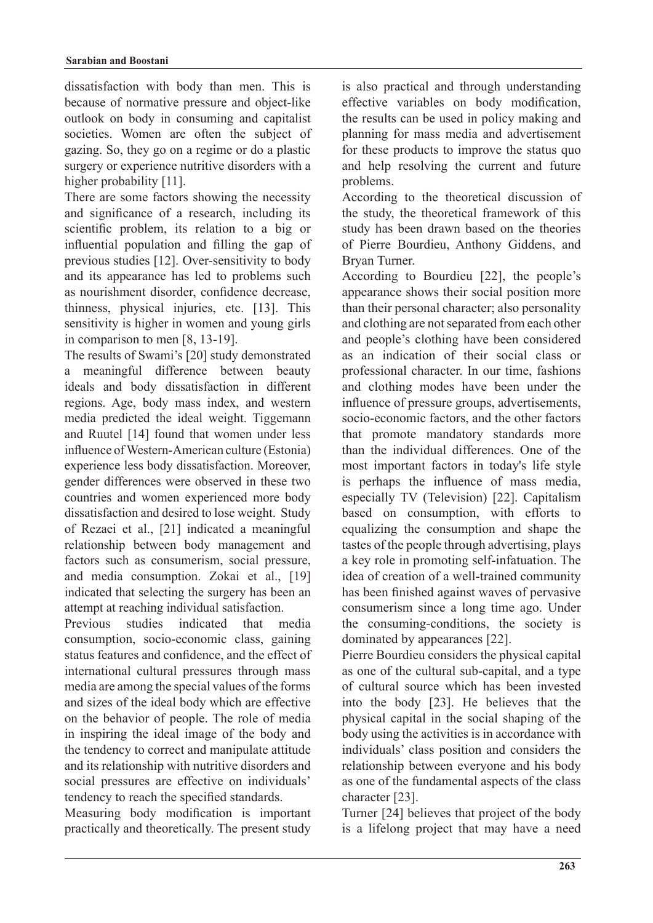dissatisfaction with body than men. This is because of normative pressure and object-like outlook on body in consuming and capitalist societies. Women are often the subject of gazing. So, they go on a regime or do a plastic surgery or experience nutritive disorders with a higher probability  $[11]$ .

There are some factors showing the necessity and significance of a research, including its scientific problem, its relation to a big or influential population and filling the gap of previous studies [12]. Over-sensitivity to body and its appearance has led to problems such as nourishment disorder, confidence decrease, thinness, physical injuries, etc. [13]. This sensitivity is higher in women and young girls in comparison to men  $[8, 13-19]$ .

The results of Swami's [20] study demonstrated a meaningful difference between beauty ideals and body dissatisfaction in different regions. Age, body mass index, and western media predicted the ideal weight. Tiggemann and Ruutel [14] found that women under less influence of Western-American culture (Estonia) experience less body dissatisfaction. Moreover, gender differences were observed in these two countries and women experienced more body dissatisfaction and desired to lose weight. Study of Rezaei et al., [21] indicated a meaningful relationship between body management and factors such as consumerism, social pressure, and media consumption. Zokai et al., [19] indicated that selecting the surgery has been an attempt at reaching individual satisfaction.

Previous studies indicated that media consumption, socio-economic class, gaining status features and confidence, and the effect of international cultural pressures through mass media are among the special values of the forms and sizes of the ideal body which are effective on the behavior of people. The role of media in inspiring the ideal image of the body and the tendency to correct and manipulate attitude and its relationship with nutritive disorders and social pressures are effective on individuals' tendency to reach the specified standards.

Measuring body modification is important practically and theoretically. The present study is also practical and through understanding effective variables on body modification, the results can be used in policy making and planning for mass media and advertisement for these products to improve the status quo and help resolving the current and future problems.

According to the theoretical discussion of the study, the theoretical framework of this study has been drawn based on the theories of Pierre Bourdieu, Anthony Giddens, and Bryan Turner.

According to Bourdieu [22], the people's appearance shows their social position more than their personal character; also personality and clothing are not separated from each other and people's clothing have been considered as an indication of their social class or professional character. In our time, fashions and clothing modes have been under the influence of pressure groups, advertisements, socio-economic factors, and the other factors that promote mandatory standards more than the individual differences. One of the most important factors in today's life style is perhaps the influence of mass media, especially TV (Television) [22]. Capitalism based on consumption, with efforts to equalizing the consumption and shape the tastes of the people through advertising, plays a key role in promoting self-infatuation. The idea of creation of a well-trained community has been finished against waves of pervasive consumerism since a long time ago. Under the consuming-conditions, the society is dominated by appearances [22].

Pierre Bourdieu considers the physical capital as one of the cultural sub-capital, and a type of cultural source which has been invested into the body [23]. He believes that the physical capital in the social shaping of the body using the activities is in accordance with individuals' class position and considers the relationship between everyone and his body as one of the fundamental aspects of the class character [23].

Turner [24] believes that project of the body is a lifelong project that may have a need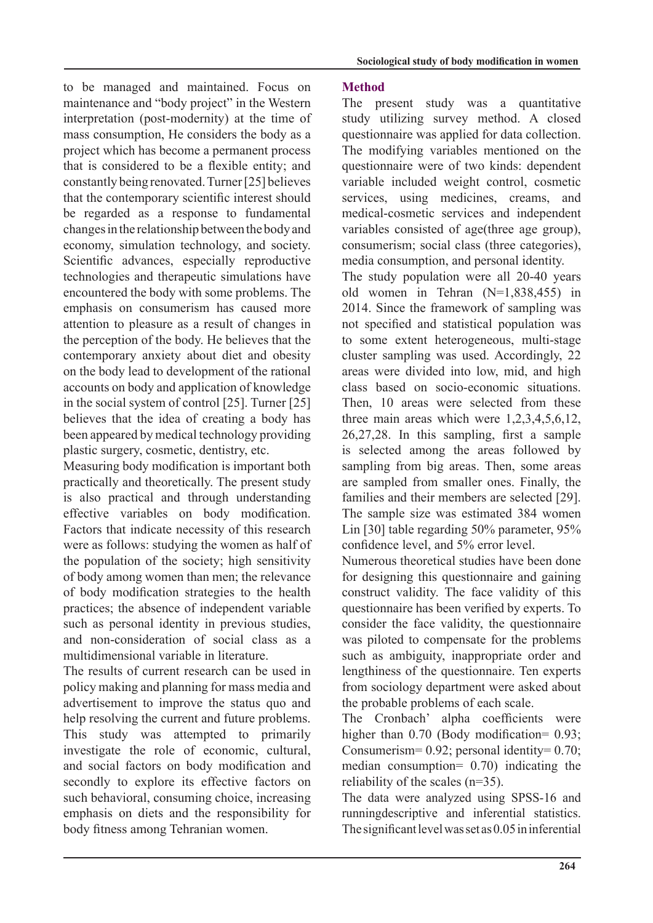to be managed and maintained. Focus on maintenance and "body project" in the Western interpretation (post-modernity) at the time of mass consumption. He considers the body as a project which has become a permanent process that is considered to be a flexible entity; and constantly being renovated. Turner [25] believes that the contemporary scientific interest should be regarded as a response to fundamental changes in the relationship between the body and economy, simulation technology, and society. Scientific advances, especially reproductive technologies and therapeutic simulations have encountered the body with some problems. The emphasis on consumerism has caused more attention to pleasure as a result of changes in the perception of the body. He believes that the contemporary anxiety about diet and obesity on the body lead to development of the rational accounts on body and application of knowledge in the social system of control  $[25]$ . Turner  $[25]$ believes that the idea of creating a body has been appeared by medical technology providing plastic surgery, cosmetic, dentistry, etc.

Measuring body modification is important both practically and theoretically. The present study is also practical and through understanding effective variables on body modification. Factors that indicate necessity of this research were as follows: studying the women as half of the population of the society; high sensitivity of body among women than men; the relevance of body modification strategies to the health practices; the absence of independent variable such as personal identity in previous studies. and non-consideration of social class as a multidimensional variable in literature

The results of current research can be used in policy making and planning for mass media and advertisement to improve the status quo and help resolving the current and future problems. This study was attempted to primarily investigate the role of economic, cultural, and social factors on body modification and secondly to explore its effective factors on such behavioral, consuming choice, increasing emphasis on diets and the responsibility for body fitness among Tehranian women.

## **Method**

The present study was a quantitative study utilizing survey method. A closed question aire was applied for data collection. The modifying variables mentioned on the questionnaire were of two kinds: dependent variable included weight control, cosmetic services, using medicines, creams, and medical-cosmetic-services and independent variables consisted of age(three age group), consumerism; social class (three categories), media consumption, and personal identity.

The study population were all 20-40 years old women in Tehran  $(N=1,838,455)$  in 2014. Since the framework of sampling was not specified and statistical population was to some extent heterogeneous, multi-stage cluster sampling was used. Accordingly, 22 areas were divided into low, mid, and high class based on socio-economic situations. Then 10 areas were selected from these three main areas which were  $1,2,3,4,5,6,12$ ,  $26,27,28$ . In this sampling, first a sample is selected among the areas followed by sampling from big areas. Then, some areas are sampled from smaller ones. Finally, the families and their members are selected [29]. The sample size was estimated 384 women Lin [30] table regarding  $50\%$  parameter,  $95\%$ confidence level, and 5% error level.

Numerous theoretical studies have been done for designing this questionnaire and gaining construct validity. The face validity of this questionnaire has been verified by experts. To consider the face validity, the questionnaire was piloted to compensate for the problems such as ambiguity, inappropriate order and lengthiness of the questionnaire. Ten experts from sociology department were asked about the probable problems of each scale.

The Cronbach' alpha coefficients were higher than  $0.70$  (Body modification =  $0.93$ ; Consumerism =  $0.92$ ; personal identity =  $0.70$ ; median consumption =  $0.70$  indicating the reliability of the scales  $(n=35)$ .

The data were analyzed using SPSS-16 and runningdescriptive and inferential statistics. The significant level was set as  $0.05$  in inferential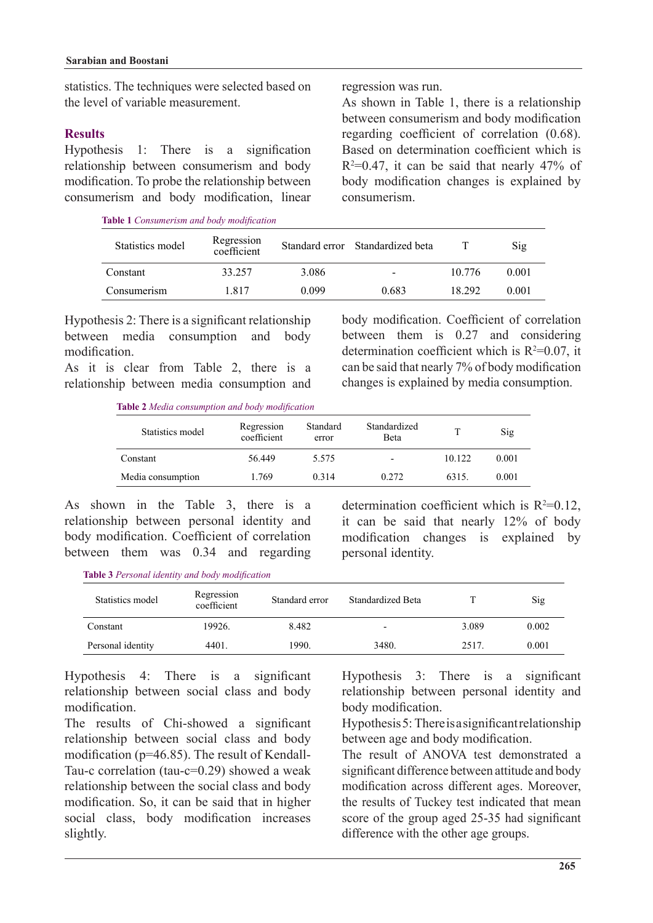statistics. The techniques were selected based on the level of variable measurement

## **Results**

Hypothesis 1: There is a signification relationship between consumerism and body modification. To probe the relationship between consumerism and body modification, linear

**Table 1** Consumerism and body modification

regression was run.

As shown in Table 1, there is a relationship between consumerism and body modification regarding coefficient of correlation  $(0.68)$ . Based on determination coefficient which is  $R<sup>2</sup>=0.47$ , it can be said that nearly 47% of body modification changes is explained by .consumerism

body modification. Coefficient of correlation between them is  $0.27$  and considering determination coefficient which is  $R^2=0.07$ , it can be said that nearly 7% of body modification changes is explained by media consumption.

| Statistics model | Regression<br>coefficient |       | Standard error Standardized beta |        | Sig   |
|------------------|---------------------------|-------|----------------------------------|--------|-------|
| Constant         | 33.257                    | 3.086 | $\overline{\phantom{0}}$         | 10.776 | 0.001 |
| Consumerism      | 1817                      | 0.099 | 0.683                            | 18 292 | 0.001 |

Hypothesis 2: There is a significant relationship between media consumption and body .modification

As it is clear from Table 2, there is a relationship between media consumption and

Table 2 Media consumption and body modification

| <b>able 2</b> Media consumption and body modification |                           |                   |                          |        |       |  |
|-------------------------------------------------------|---------------------------|-------------------|--------------------------|--------|-------|--|
| Statistics model                                      | Regression<br>coefficient | Standard<br>error | Standardized<br>Beta     | т      | Sig   |  |
| Constant                                              | 56 449                    | 5.575             | $\overline{\phantom{a}}$ | 10.122 | 0.001 |  |
| Media consumption                                     | 1.769                     | 0.314             | 0.272                    | 6315.  | 0.001 |  |

As shown in the Table 3, there is a relationship between personal identity and body modification. Coefficient of correlation between them was  $0.34$  and regarding

determination coefficient which is  $R^2=0.12$ , it can be said that nearly  $12\%$  of body modification changes is explained by personal identity.

**Table 3** Personal identity and body modification

| Statistics model  | Regression<br>coefficient | Standard error | Standardized Beta |       | Sig   |
|-------------------|---------------------------|----------------|-------------------|-------|-------|
| Constant          | 19926.                    | 8.482          | -                 | 3.089 | 0.002 |
| Personal identity | 4401.                     | 1990.          | 3480.             | 2517  | 0.001 |

Hypothesis 4: There is a significant relationship between social class and body .modification

The results of Chi-showed a significant relationship between social class and body Tau-c correlation (tau-c= $0.29$ ) showed a weak modification ( $p=46.85$ ). The result of Kendallrelationship between the social class and body modification. So, it can be said that in higher social class, body modification increases slightly.

Hypothesis 3: There is a significant relationship between personal identity and body modification.

Hypothesis 5: There is a significant relationship between age and body modification.

The result of ANOVA test demonstrated a significant difference between attitude and body modification across different ages. Moreover, the results of Tuckey test indicated that mean score of the group aged 25-35 had significant difference with the other age groups.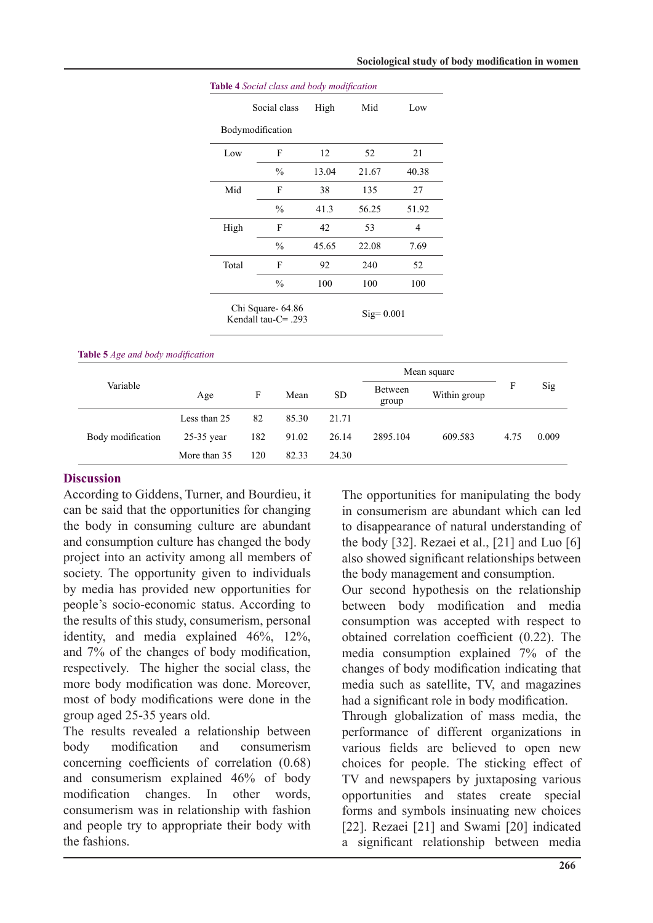|       | Social class                                 | High  | Mid          | Low   |
|-------|----------------------------------------------|-------|--------------|-------|
|       | Bodymodification                             |       |              |       |
| Low   | F                                            | 12    | 52           | 21    |
|       | $\frac{0}{0}$                                | 13.04 | 21.67        | 40.38 |
| Mid   | F                                            | 38    | 135          | 27    |
|       | $\frac{0}{0}$                                | 41.3  | 56.25        | 51.92 |
| High  | F                                            | 42    | 53           | 4     |
|       | $\frac{0}{0}$                                | 45.65 | 22.08        | 7.69  |
| Total | F                                            | 92    | 240          | 52    |
|       | $\frac{0}{0}$                                | 100   | 100          | 100   |
|       | Chi Square- 64.86<br>Kendall tau- $C = .293$ |       | $Sig= 0.001$ |       |

#### **Table** 5 *Age and body modification*

| Variable          |              |     |       |           | Mean square      |              |      |       |
|-------------------|--------------|-----|-------|-----------|------------------|--------------|------|-------|
|                   | Age          | F   | Mean  | <b>SD</b> | Between<br>group | Within group | F    | Sig   |
| Body modification | Less than 25 | 82  | 85.30 | 21.71     |                  |              |      |       |
|                   | $25-35$ year | 182 | 91.02 | 26.14     | 2895.104         | 609.583      | 4.75 | 0.009 |
|                   | More than 35 | 120 | 82.33 | 24.30     |                  |              |      |       |

### **Discussion**

According to Giddens, Turner, and Bourdieu, it can be said that the opportunities for changing the body in consuming culture are abundant and consumption culture has changed the body project into an activity among all members of society. The opportunity given to individuals by media has provided new opportunities for people's socio-economic status. According to the results of this study, consumerism, personal identity, and media explained  $46\%$ ,  $12\%$ , and 7% of the changes of body modification, respectively. The higher the social class, the more body modification was done. Moreover. most of body modifications were done in the group aged 25-35 years old.

The results revealed a relationship between body modification and consumerism concerning coefficients of correlation  $(0.68)$ and consumerism explained 46% of body modification changes. In other words, consumerism was in relationship with fashion and people try to appropriate their body with the fashions.

The opportunities for manipulating the body in consumerism are abundant which can led to disappearance of natural understanding of the body  $[32]$ . Rezaei et al.,  $[21]$  and Luo  $[6]$ also showed significant relationships between the body management and consumption.

Our second hypothesis on the relationship between body modification and media consumption was accepted with respect to obtained correlation coefficient  $(0.22)$ . The media consumption explained  $7%$  of the changes of body modification indicating that media such as satellite, TV, and magazines had a significant role in body modification.

Through globalization of mass media, the performance of different organizations in various fields are believed to open new choices for people. The sticking effect of TV and newspapers by juxtaposing various opportunities and states create special forms and symbols insinuating new choices [22]. Rezaei  $[21]$  and Swami  $[20]$  indicated a significant relationship between media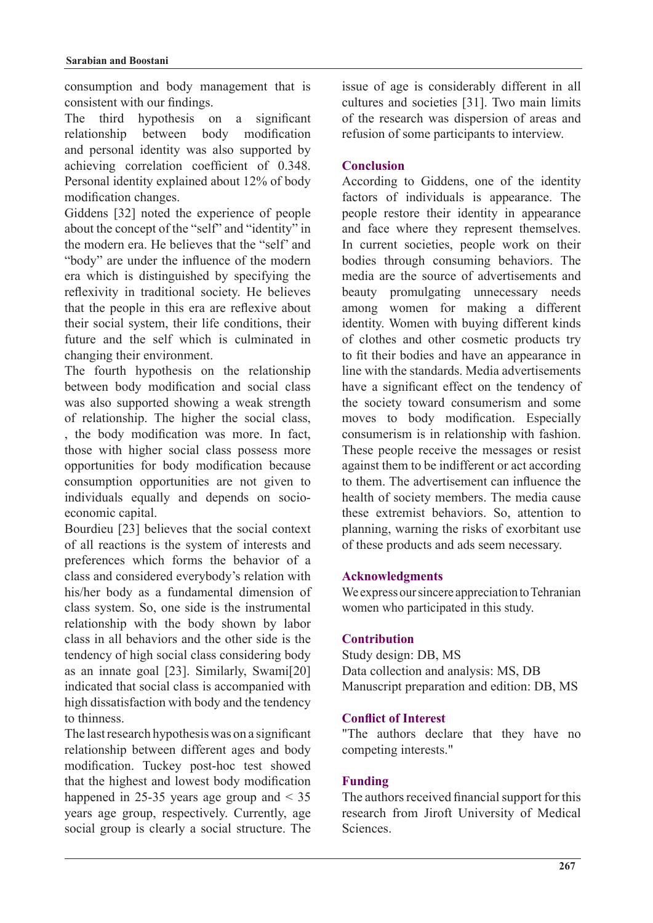consumption and body management that is consistent with our findings.

The third hypothesis on a significant relationship between body modification and personal identity was also supported by achieving correlation coefficient of 0.348. Personal identity explained about 12% of body modification changes.

Giddens [32] noted the experience of people about the concept of the "self" and "identity" in the modern era. He believes that the "self" and "body" are under the influence of the modern era which is distinguished by specifying the reflexivity in traditional society. He believes that the people in this era are reflexive about their social system, their life conditions, their future and the self which is culminated in changing their environment

The fourth hypothesis on the relationship between body modification and social class was also supported showing a weak strength of relationship. The higher the social class, , the body modification was more. In fact, those with higher social class possess more opportunities for body modification because consumption opportunities are not given to individuals equally and depends on socio-<br>economic-capital.

Bourdieu [23] believes that the social context of all reactions is the system of interests and preferences which forms the behavior of a class and considered everybody's relation with his/her body as a fundamental dimension of class system. So, one side is the instrumental relationship with the body shown by labor class in all behaviors and the other side is the tendency of high social class considering body as an innate goal  $[23]$ . Similarly, Swami $[20]$ indicated that social class is accompanied with high dissatisfaction with body and the tendency to thinness

The last research hypothesis was on a significant relationship between different ages and body modification. Tuckey post-hoc test showed that the highest and lowest body modification happened in 25-35 years age group and  $\leq$  35 years age group, respectively. Currently, age social group is clearly a social structure. The

issue of age is considerably different in all cultures and societies [31]. Two main limits of the research was dispersion of areas and refusion of some participants to interview.

## **Conclusion**

According to Giddens, one of the identity factors of individuals is appearance. The people restore their identity in appearance and face where they represent themselves. In current societies, people work on their bodies through consuming behaviors. The media are the source of advertisements and beauty promulgating unnecessary needs among women for making a different identity. Women with buying different kinds of clothes and other cosmetic products try to fit their bodies and have an appearance in line with the standards. Media advertisements have a significant effect on the tendency of the society toward consumerism and some moves to body modification. Especially consumerism is in relationship with fashion. These people receive the messages or resist against them to be indifferent or act according to them. The advertisement can influence the health of society members. The media cause these extremist behaviors. So, attention to planning, warning the risks of exorbitant use of these products and ads seem necessary.

## **Acknowledgments**

We express our sincere appreciation to Tehranian women who participated in this study.

## **Contribution**

Study design: DB, MS Data collection and analysis: MS, DB Manuscript preparation and edition: DB, MS

## **Conflict of Interest**

"The authors declare that they have no competing interests."

## **Funding**

The authors received financial support for this research from Jiroft University of Medical .Sciences